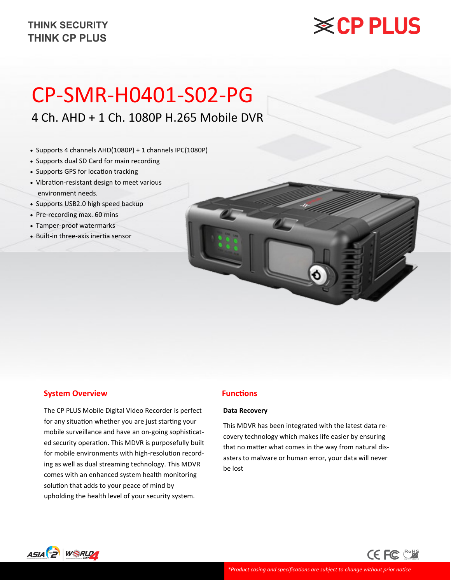# **※CP PLUS**

# CP-SMR-H0401-S02-PG

4 Ch. AHD + 1 Ch. 1080P H.265 Mobile DVR

- Supports 4 channels AHD(1080P) + 1 channels IPC(1080P)
- Supports dual SD Card for main recording
- Supports GPS for location tracking
- Vibration-resistant design to meet various environment needs.
- Supports USB2.0 high speed backup
- Pre-recording max. 60 mins
- Tamper-proof watermarks
- Built-in three-axis inertia sensor

#### **System Overview**

The CP PLUS Mobile Digital Video Recorder is perfect for any situation whether you are just starting your mobile surveillance and have an on-going sophisticated security operation. This MDVR is purposefully built for mobile environments with high-resolution recording as well as dual streaming technology. This MDVR comes with an enhanced system health monitoring solution that adds to your peace of mind by upholding the health level of your security system.

#### **Functions**

#### **Data Recovery**

This MDVR has been integrated with the latest data recovery technology which makes life easier by ensuring that no matter what comes in the way from natural disasters to malware or human error, your data will never be lost

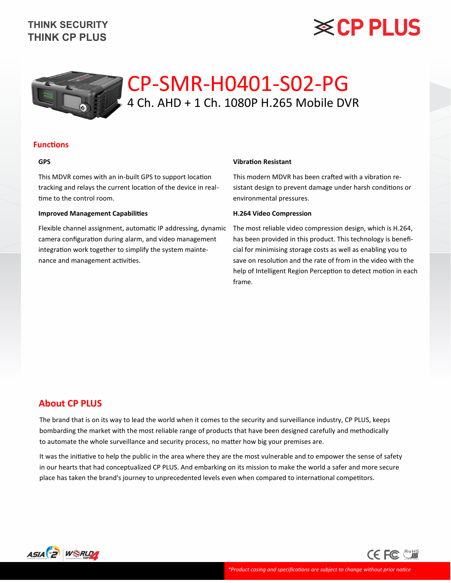# **※CP PLUS**



## CP-SMR-H0401-S02-PG 4 Ch. AHD + 1 Ch. 1080P H.265 Mobile DVR

#### **Functions**

#### **GPS**

This MDVR comes with an in-built GPS to support location tracking and relays the current location of the device in realtime to the control room.

#### **Improved Management Capabilities**

Flexible channel assignment, automatic IP addressing, dynamic camera configuration during alarm, and video management integration work together to simplify the system maintenance and management activities.

#### **Vibration Resistant**

This modern MDVR has been crafted with a vibration resistant design to prevent damage under harsh conditions or environmental pressures.

#### **H.264 Video Compression**

The most reliable video compression design, which is H.264, has been provided in this product. This technology is beneficial for minimising storage costs as well as enabling you to save on resolution and the rate of from in the video with the help of Intelligent Region Perception to detect motion in each frame.

#### **About CP PLUS**

The brand that is on its way to lead the world when it comes to the security and surveillance industry, CP PLUS, keeps bombarding the market with the most reliable range of products that have been designed carefully and methodically to automate the whole surveillance and security process, no matter how big your premises are.

It was the initiative to help the public in the area where they are the most vulnerable and to empower the sense of safety in our hearts that had conceptualized CP PLUS. And embarking on its mission to make the world a safer and more secure place has taken the brand's journey to unprecedented levels even when compared to international competitors.



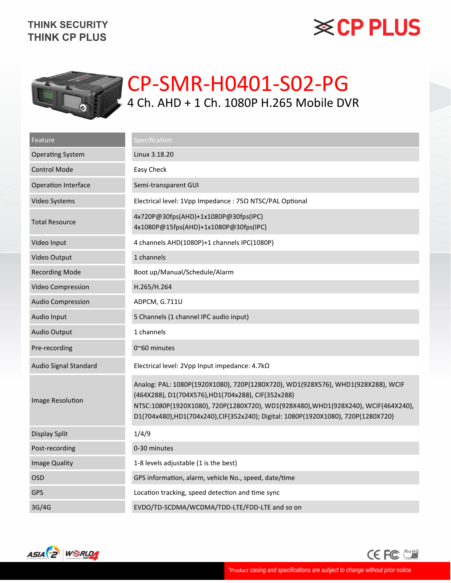# **※CP PLUS**



## CP-SMR-H0401-S02-PG 4 Ch. AHD + 1 Ch. 1080P H.265 Mobile DVR

| Feature                  | Specification                                                                                                                                                                                                                                                                                                    |
|--------------------------|------------------------------------------------------------------------------------------------------------------------------------------------------------------------------------------------------------------------------------------------------------------------------------------------------------------|
| <b>Operating System</b>  | Linux 3.18.20                                                                                                                                                                                                                                                                                                    |
| <b>Control Mode</b>      | Easy Check                                                                                                                                                                                                                                                                                                       |
| Operation Interface      | Semi-transparent GUI                                                                                                                                                                                                                                                                                             |
| Video Systems            | Electrical level: 1Vpp Impedance : 75Ω NTSC/PAL Optional                                                                                                                                                                                                                                                         |
| <b>Total Resource</b>    | 4x720P@30fps(AHD)+1x1080P@30fps(IPC)<br>4x1080P@15fps(AHD)+1x1080P@30fps(IPC)                                                                                                                                                                                                                                    |
| Video Input              | 4 channels AHD(1080P)+1 channels IPC(1080P)                                                                                                                                                                                                                                                                      |
| Video Output             | 1 channels                                                                                                                                                                                                                                                                                                       |
| <b>Recording Mode</b>    | Boot up/Manual/Schedule/Alarm                                                                                                                                                                                                                                                                                    |
| Video Compression        | H.265/H.264                                                                                                                                                                                                                                                                                                      |
| <b>Audio Compression</b> | ADPCM, G.711U                                                                                                                                                                                                                                                                                                    |
| Audio Input              | 5 Channels (1 channel IPC audio input)                                                                                                                                                                                                                                                                           |
| Audio Output             | 1 channels                                                                                                                                                                                                                                                                                                       |
| Pre-recording            | $0^{\sim}60$ minutes                                                                                                                                                                                                                                                                                             |
| Audio Signal Standard    | Electrical level: 2Vpp Input impedance: 4.7kΩ                                                                                                                                                                                                                                                                    |
| Image Resolution         | Analog: PAL: 1080P(1920X1080), 720P(1280X720), WD1(928X576), WHD1(928X288), WCIF<br>(464X288), D1(704X576), HD1(704x288), CIF(352x288)<br>NTSC:1080P(1920X1080), 720P(1280X720), WD1(928X480), WHD1(928X240), WCIF(464X240),<br>D1(704x480),HD1(704x240),CIF(352x240); Digital: 1080P(1920X1080), 720P(1280X720) |
| Display Split            | 1/4/9                                                                                                                                                                                                                                                                                                            |
| Post-recording           | 0-30 minutes                                                                                                                                                                                                                                                                                                     |
| <b>Image Quality</b>     | 1-8 levels adjustable (1 is the best)                                                                                                                                                                                                                                                                            |
| <b>OSD</b>               | GPS information, alarm, vehicle No., speed, date/time                                                                                                                                                                                                                                                            |
| <b>GPS</b>               | Location tracking, speed detection and time sync                                                                                                                                                                                                                                                                 |
| 3G/4G                    | EVDO/TD-SCDMA/WCDMA/TDD-LTE/FDD-LTE and so on                                                                                                                                                                                                                                                                    |



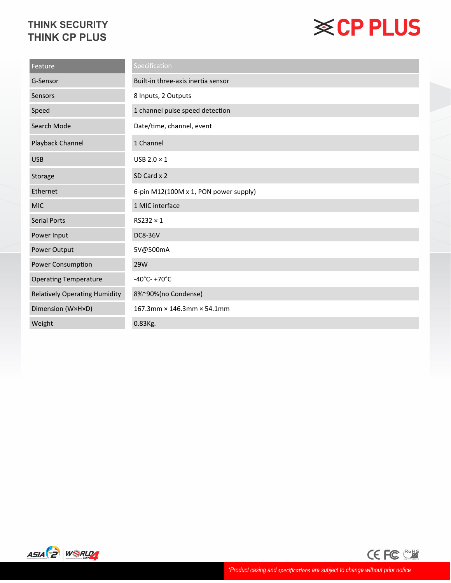# **※CP PLUS**

| Feature                              | Specification                         |
|--------------------------------------|---------------------------------------|
| G-Sensor                             | Built-in three-axis inertia sensor    |
| Sensors                              | 8 Inputs, 2 Outputs                   |
| Speed                                | 1 channel pulse speed detection       |
| Search Mode                          | Date/time, channel, event             |
| Playback Channel                     | 1 Channel                             |
| <b>USB</b>                           | USB $2.0 \times 1$                    |
| Storage                              | SD Card x 2                           |
| Ethernet                             | 6-pin M12(100M x 1, PON power supply) |
| <b>MIC</b>                           | 1 MIC interface                       |
| <b>Serial Ports</b>                  | $RS232 \times 1$                      |
| Power Input                          | <b>DC8-36V</b>                        |
| Power Output                         | 5V@500mA                              |
| Power Consumption                    | 29W                                   |
| <b>Operating Temperature</b>         | $-40^{\circ}$ C- +70 $^{\circ}$ C     |
| <b>Relatively Operating Humidity</b> | 8%~90%(no Condense)                   |
| Dimension (WxHxD)                    | 167.3mm × 146.3mm × 54.1mm            |
| Weight                               | 0.83Kg.                               |